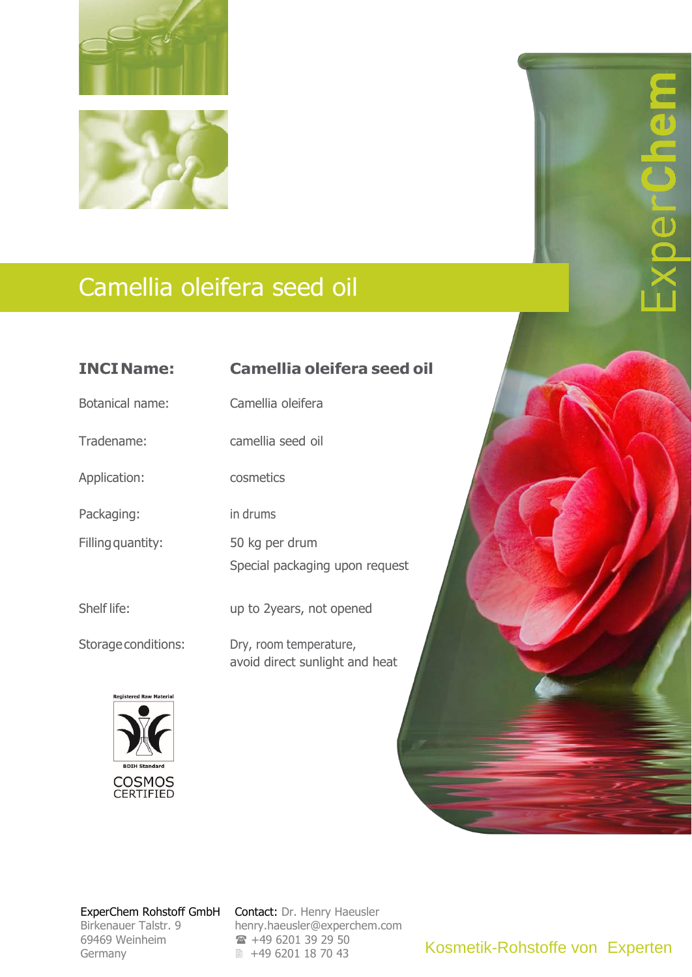

## Camellia oleifera seed oil

| <b>INCIName:</b>                                                                            | <b>Camellia oleifera seed oil</b>                        |
|---------------------------------------------------------------------------------------------|----------------------------------------------------------|
| <b>Botanical name:</b>                                                                      | Camellia oleifera                                        |
| Tradename:                                                                                  | camellia seed oil                                        |
| Application:                                                                                | cosmetics                                                |
| Packaging:                                                                                  | in drums                                                 |
| Filling quantity:                                                                           | 50 kg per drum                                           |
|                                                                                             | Special packaging upon request                           |
| Shelf life:                                                                                 | up to 2years, not opened                                 |
| Storage conditions:                                                                         | Dry, room temperature,<br>avoid direct sunlight and heat |
| <b>Registered Raw Material</b><br><b>BDIH Standard</b><br><b>COSMOS</b><br><b>CERTIFIED</b> |                                                          |

Birkenauer Talstr. 9 69469 Weinheim 69469 Weinheim Germany Germany

ExperChem Rohstoff GmbH Contact: Dr. Henry Haeusler [henry.haeusler@experchem.com](mailto:henry.haeusler@experchem.com) [henry.haeusler@experchem.com](mailto:henry.haeusler@experchem.com)  $\rightarrow$  +49 6201 39 29 50 ■ +49 6201 18 70 43

Kosmetik-Rohstoffe von Experten

 $\overline{\phantom{a}}$  $\overline{\phantom{a}}$ 

 $\overline{\mathbf{d}}$  $\overline{\phantom{0}}$  $\blacksquare$ 

perCh